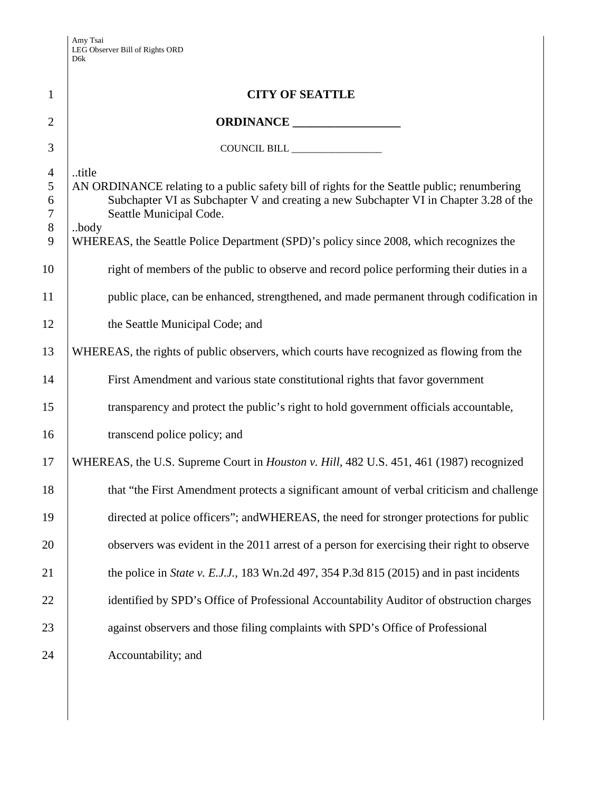| $\mathbf{1}$                            | <b>CITY OF SEATTLE</b>                                                                                                                                                                                                                                                                                                     |  |
|-----------------------------------------|----------------------------------------------------------------------------------------------------------------------------------------------------------------------------------------------------------------------------------------------------------------------------------------------------------------------------|--|
| $\overline{2}$                          |                                                                                                                                                                                                                                                                                                                            |  |
| 3                                       |                                                                                                                                                                                                                                                                                                                            |  |
| $\overline{4}$<br>5<br>6<br>7<br>8<br>9 | title<br>AN ORDINANCE relating to a public safety bill of rights for the Seattle public; renumbering<br>Subchapter VI as Subchapter V and creating a new Subchapter VI in Chapter 3.28 of the<br>Seattle Municipal Code.<br>body<br>WHEREAS, the Seattle Police Department (SPD)'s policy since 2008, which recognizes the |  |
| 10                                      | right of members of the public to observe and record police performing their duties in a                                                                                                                                                                                                                                   |  |
| 11                                      | public place, can be enhanced, strengthened, and made permanent through codification in                                                                                                                                                                                                                                    |  |
| 12                                      | the Seattle Municipal Code; and                                                                                                                                                                                                                                                                                            |  |
| 13                                      | WHEREAS, the rights of public observers, which courts have recognized as flowing from the                                                                                                                                                                                                                                  |  |
| 14                                      | First Amendment and various state constitutional rights that favor government                                                                                                                                                                                                                                              |  |
| 15                                      | transparency and protect the public's right to hold government officials accountable,                                                                                                                                                                                                                                      |  |
| 16                                      | transcend police policy; and                                                                                                                                                                                                                                                                                               |  |
| 17                                      | WHEREAS, the U.S. Supreme Court in <i>Houston v. Hill</i> , 482 U.S. 451, 461 (1987) recognized                                                                                                                                                                                                                            |  |
| 18                                      | that "the First Amendment protects a significant amount of verbal criticism and challenge                                                                                                                                                                                                                                  |  |
| 19                                      | directed at police officers"; and WHEREAS, the need for stronger protections for public                                                                                                                                                                                                                                    |  |
| 20                                      | observers was evident in the 2011 arrest of a person for exercising their right to observe                                                                                                                                                                                                                                 |  |
| 21                                      | the police in <i>State v. E.J.J.</i> , 183 Wn.2d 497, 354 P.3d 815 (2015) and in past incidents                                                                                                                                                                                                                            |  |
| 22                                      | identified by SPD's Office of Professional Accountability Auditor of obstruction charges                                                                                                                                                                                                                                   |  |
| 23                                      | against observers and those filing complaints with SPD's Office of Professional                                                                                                                                                                                                                                            |  |
| 24                                      | Accountability; and                                                                                                                                                                                                                                                                                                        |  |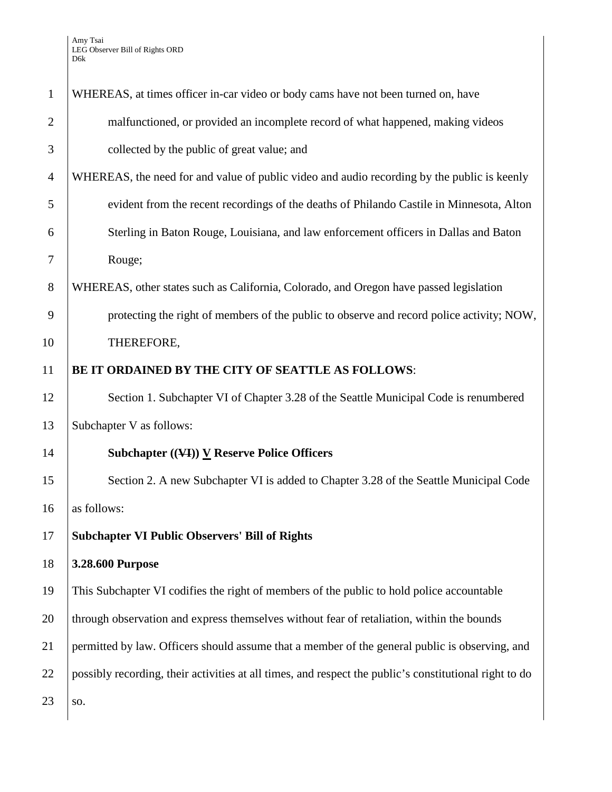| $\mathbf{1}$   | WHEREAS, at times officer in-car video or body cams have not been turned on, have                      |  |
|----------------|--------------------------------------------------------------------------------------------------------|--|
| $\overline{2}$ | malfunctioned, or provided an incomplete record of what happened, making videos                        |  |
| 3              | collected by the public of great value; and                                                            |  |
| $\overline{4}$ | WHEREAS, the need for and value of public video and audio recording by the public is keenly            |  |
| 5              | evident from the recent recordings of the deaths of Philando Castile in Minnesota, Alton               |  |
| 6              | Sterling in Baton Rouge, Louisiana, and law enforcement officers in Dallas and Baton                   |  |
| 7              | Rouge;                                                                                                 |  |
| 8              | WHEREAS, other states such as California, Colorado, and Oregon have passed legislation                 |  |
| 9              | protecting the right of members of the public to observe and record police activity; NOW,              |  |
| 10             | THEREFORE,                                                                                             |  |
| 11             | BE IT ORDAINED BY THE CITY OF SEATTLE AS FOLLOWS:                                                      |  |
| 12             | Section 1. Subchapter VI of Chapter 3.28 of the Seattle Municipal Code is renumbered                   |  |
| 13             | Subchapter V as follows:                                                                               |  |
| 14             | Subchapter $((\forall$ I $))$ V Reserve Police Officers                                                |  |
| 15             | Section 2. A new Subchapter VI is added to Chapter 3.28 of the Seattle Municipal Code                  |  |
| 16             | as follows:                                                                                            |  |
| 17             | <b>Subchapter VI Public Observers' Bill of Rights</b>                                                  |  |
| 18             | 3.28.600 Purpose                                                                                       |  |
| 19             | This Subchapter VI codifies the right of members of the public to hold police accountable              |  |
| 20             | through observation and express themselves without fear of retaliation, within the bounds              |  |
| 21             | permitted by law. Officers should assume that a member of the general public is observing, and         |  |
| 22             | possibly recording, their activities at all times, and respect the public's constitutional right to do |  |
| 23             | SO.                                                                                                    |  |
|                |                                                                                                        |  |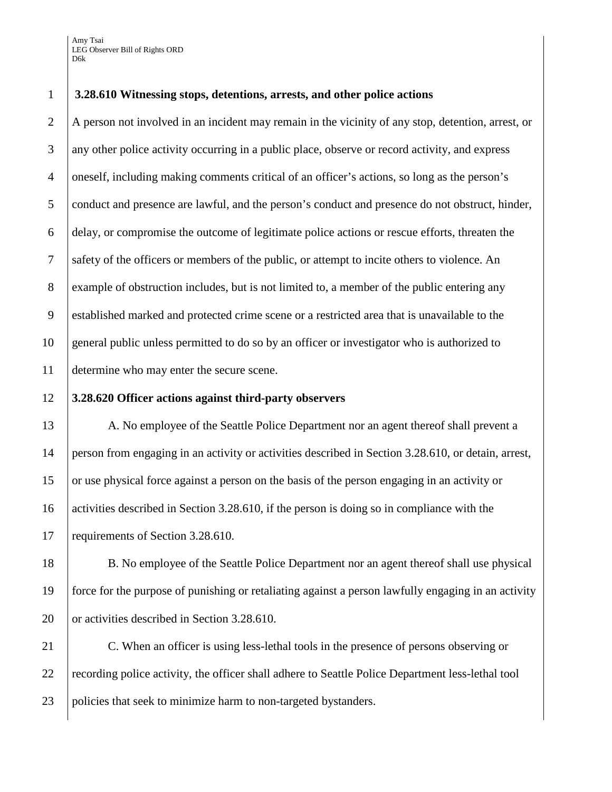Amy Tsai LEG Observer Bill of Rights ORD D6k

## **3.28.610 Witnessing stops, detentions, arrests, and other police actions**

2 A person not involved in an incident may remain in the vicinity of any stop, detention, arrest, or any other police activity occurring in a public place, observe or record activity, and express oneself, including making comments critical of an officer's actions, so long as the person's conduct and presence are lawful, and the person's conduct and presence do not obstruct, hinder, delay, or compromise the outcome of legitimate police actions or rescue efforts, threaten the safety of the officers or members of the public, or attempt to incite others to violence. An example of obstruction includes, but is not limited to, a member of the public entering any established marked and protected crime scene or a restricted area that is unavailable to the general public unless permitted to do so by an officer or investigator who is authorized to determine who may enter the secure scene.

### **3.28.620 Officer actions against third-party observers**

13 A. No employee of the Seattle Police Department nor an agent thereof shall prevent a person from engaging in an activity or activities described in Section 3.28.610, or detain, arrest, or use physical force against a person on the basis of the person engaging in an activity or activities described in Section 3.28.610, if the person is doing so in compliance with the 17 requirements of Section 3.28.610.

 B. No employee of the Seattle Police Department nor an agent thereof shall use physical force for the purpose of punishing or retaliating against a person lawfully engaging in an activity 20 or activities described in Section 3.28.610.

21 C. When an officer is using less-lethal tools in the presence of persons observing or 22 recording police activity, the officer shall adhere to Seattle Police Department less-lethal tool policies that seek to minimize harm to non-targeted bystanders.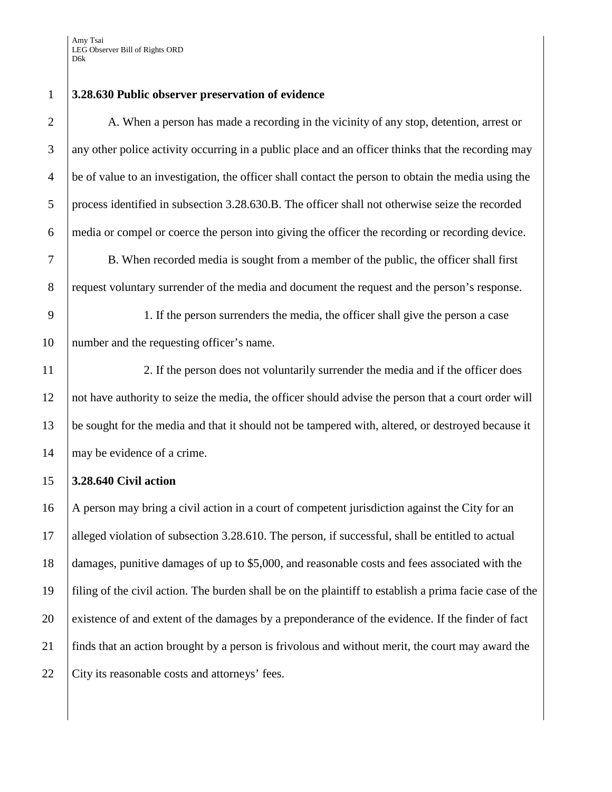## 1 **3.28.630 Public observer preservation of evidence**

2 A. When a person has made a recording in the vicinity of any stop, detention, arrest or 3 any other police activity occurring in a public place and an officer thinks that the recording may <sup>4</sup> be of value to an investigation, the officer shall contact the person to obtain the media using the 5 process identified in subsection 3.28.630.B. The officer shall not otherwise seize the recorded 6 media or compel or coerce the person into giving the officer the recording or recording device.

7 B. When recorded media is sought from a member of the public, the officer shall first 8 request voluntary surrender of the media and document the request and the person's response.

9 1. If the person surrenders the media, the officer shall give the person a case 10 number and the requesting officer's name.

11 2. If the person does not voluntarily surrender the media and if the officer does 12 not have authority to seize the media, the officer should advise the person that a court order will 13 be sought for the media and that it should not be tampered with, altered, or destroyed because it 14 | may be evidence of a crime.

# 15 **3.28.640 Civil action**

 A person may bring a civil action in a court of competent jurisdiction against the City for an alleged violation of subsection 3.28.610. The person, if successful, shall be entitled to actual damages, punitive damages of up to \$5,000, and reasonable costs and fees associated with the filing of the civil action. The burden shall be on the plaintiff to establish a prima facie case of the 20 existence of and extent of the damages by a preponderance of the evidence. If the finder of fact finds that an action brought by a person is frivolous and without merit, the court may award the 22 City its reasonable costs and attorneys' fees.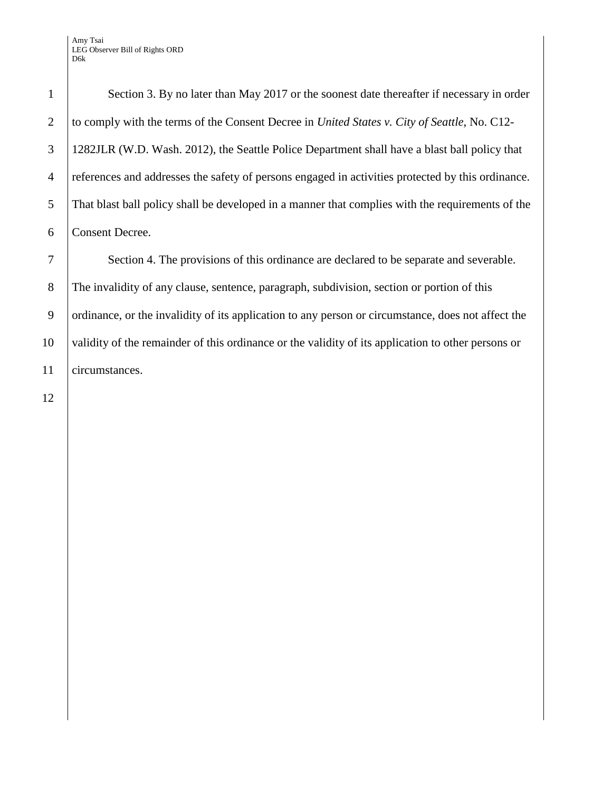1 Section 3. By no later than May 2017 or the soonest date thereafter if necessary in order to comply with the terms of the Consent Decree in *United States v. City of Seattle*, No. C12- 1282JLR (W.D. Wash. 2012), the Seattle Police Department shall have a blast ball policy that references and addresses the safety of persons engaged in activities protected by this ordinance. That blast ball policy shall be developed in a manner that complies with the requirements of the Consent Decree.

7 Section 4. The provisions of this ordinance are declared to be separate and severable. 8 The invalidity of any clause, sentence, paragraph, subdivision, section or portion of this 9 ordinance, or the invalidity of its application to any person or circumstance, does not affect the 10 validity of the remainder of this ordinance or the validity of its application to other persons or 11 circumstances.

12